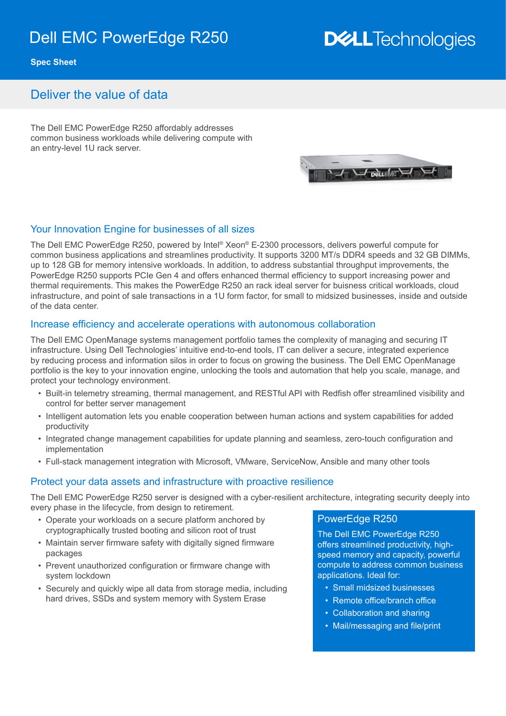## Dell EMC PowerEdge R250

# **DELLTechnologies**

**Spec Sheet**

### Deliver the value of data

The Dell EMC PowerEdge R250 affordably addresses common business workloads while delivering compute with an entry-level 1U rack server.

#### Your Innovation Engine for businesses of all sizes

The Dell EMC PowerEdge R250, powered by Intel® Xeon® E-2300 processors, delivers powerful compute for common business applications and streamlines productivity. It supports 3200 MT/s DDR4 speeds and 32 GB DIMMs, up to 128 GB for memory intensive workloads. In addition, to address substantial throughput improvements, the PowerEdge R250 supports PCIe Gen 4 and offers enhanced thermal efficiency to support increasing power and thermal requirements. This makes the PowerEdge R250 an rack ideal server for buisness critical workloads, cloud infrastructure, and point of sale transactions in a 1U form factor, for small to midsized businesses, inside and outside of the data center.

#### Increase efficiency and accelerate operations with autonomous collaboration

The Dell EMC OpenManage systems management portfolio tames the complexity of managing and securing IT infrastructure. Using Dell Technologies' intuitive end-to-end tools, IT can deliver a secure, integrated experience by reducing process and information silos in order to focus on growing the business. The Dell EMC OpenManage portfolio is the key to your innovation engine, unlocking the tools and automation that help you scale, manage, and protect your technology environment.

- Built-in telemetry streaming, thermal management, and RESTful API with Redfish offer streamlined visibility and control for better server management
- Intelligent automation lets you enable cooperation between human actions and system capabilities for added productivity
- Integrated change management capabilities for update planning and seamless, zero-touch configuration and implementation
- Full-stack management integration with Microsoft, VMware, ServiceNow, Ansible and many other tools

#### Protect your data assets and infrastructure with proactive resilience

The Dell EMC PowerEdge R250 server is designed with a cyber-resilient architecture, integrating security deeply into every phase in the lifecycle, from design to retirement.

- Operate your workloads on a secure platform anchored by cryptographically trusted booting and silicon root of trust
- Maintain server firmware safety with digitally signed firmware packages
- Prevent unauthorized configuration or firmware change with system lockdown
- Securely and quickly wipe all data from storage media, including hard drives, SSDs and system memory with System Erase

#### PowerEdge R250

The Dell EMC PowerEdge R250 offers streamlined productivity, highspeed memory and capacity, powerful compute to address common business applications. Ideal for:

- Small midsized businesses
- Remote office/branch office
- Collaboration and sharing
- Mail/messaging and file/print

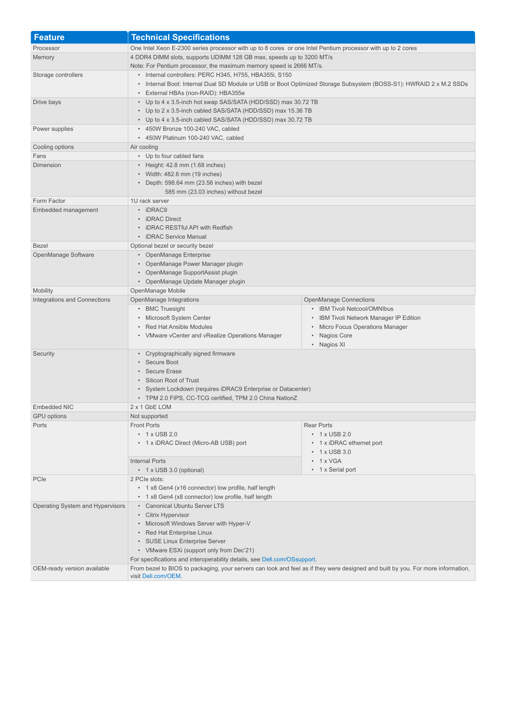| <b>Feature</b>                            | <b>Technical Specifications</b>                                                                                                                                              |                                       |
|-------------------------------------------|------------------------------------------------------------------------------------------------------------------------------------------------------------------------------|---------------------------------------|
| Processor                                 | One Intel Xeon E-2300 series processor with up to 8 cores or one Intel Pentium processor with up to 2 cores                                                                  |                                       |
| Memory                                    | 4 DDR4 DIMM slots, supports UDIMM 128 GB max, speeds up to 3200 MT/s                                                                                                         |                                       |
|                                           | Note: For Pentium processor, the maximum memory speed is 2666 MT/s.                                                                                                          |                                       |
| Storage controllers                       | • Internal controllers: PERC H345, H755, HBA355i, S150<br>• Internal Boot: Internal Dual SD Module or USB or Boot Optimized Storage Subsystem (BOSS-S1): HWRAID 2 x M.2 SSDs |                                       |
|                                           |                                                                                                                                                                              |                                       |
|                                           | • External HBAs (non-RAID): HBA355e                                                                                                                                          |                                       |
| Drive bays                                | • Up to 4 x 3.5-inch hot swap SAS/SATA (HDD/SSD) max 30.72 TB<br>• Up to 2 x 3.5-inch cabled SAS/SATA (HDD/SSD) max 15.36 TB                                                 |                                       |
|                                           | • Up to 4 x 3.5-inch cabled SAS/SATA (HDD/SSD) max 30.72 TB                                                                                                                  |                                       |
| Power supplies                            | • 450W Bronze 100-240 VAC, cabled                                                                                                                                            |                                       |
|                                           | * 450W Platinum 100-240 VAC, cabled                                                                                                                                          |                                       |
| Cooling options                           | Air cooling                                                                                                                                                                  |                                       |
| Fans                                      | • Up to four cabled fans                                                                                                                                                     |                                       |
| Dimension                                 | • Height: 42.8 mm (1.68 inches)                                                                                                                                              |                                       |
|                                           | • Width: 482.6 mm (19 inches)                                                                                                                                                |                                       |
|                                           | • Depth: 598.64 mm (23.56 inches) with bezel                                                                                                                                 |                                       |
|                                           | 585 mm (23.03 inches) without bezel                                                                                                                                          |                                       |
| Form Factor                               | 1U rack server                                                                                                                                                               |                                       |
| Embedded management                       | • iDRAC9                                                                                                                                                                     |                                       |
|                                           | • iDRAC Direct                                                                                                                                                               |                                       |
|                                           | • iDRAC RESTful API with Redfish                                                                                                                                             |                                       |
|                                           | • iDRAC Service Manual                                                                                                                                                       |                                       |
| <b>Bezel</b>                              | Optional bezel or security bezel                                                                                                                                             |                                       |
| OpenManage Software                       | • OpenManage Enterprise                                                                                                                                                      |                                       |
|                                           | • OpenManage Power Manager plugin<br>• OpenManage SupportAssist plugin                                                                                                       |                                       |
|                                           | • OpenManage Update Manager plugin                                                                                                                                           |                                       |
| <b>Mobility</b>                           | OpenManage Mobile                                                                                                                                                            |                                       |
| Integrations and Connections              | OpenManage Integrations                                                                                                                                                      | <b>OpenManage Connections</b>         |
|                                           | • BMC Truesight                                                                                                                                                              | • IBM Tivoli Netcool/OMNIbus          |
|                                           | • Microsoft System Center                                                                                                                                                    | IBM Tivoli Network Manager IP Edition |
|                                           | • Red Hat Ansible Modules                                                                                                                                                    | • Micro Focus Operations Manager      |
|                                           | • VMware vCenter and vRealize Operations Manager                                                                                                                             | • Nagios Core                         |
|                                           |                                                                                                                                                                              | • Nagios XI                           |
| Security                                  | • Cryptographically signed firmware<br>• Secure Boot                                                                                                                         |                                       |
|                                           |                                                                                                                                                                              |                                       |
| • Secure Erase<br>• Silicon Root of Trust |                                                                                                                                                                              |                                       |
|                                           |                                                                                                                                                                              |                                       |
|                                           | • System Lockdown (requires iDRAC9 Enterprise or Datacenter)                                                                                                                 |                                       |
| Embedded NIC                              | • TPM 2.0 FIPS, CC-TCG certified, TPM 2.0 China NationZ<br>2 x 1 GbE LOM                                                                                                     |                                       |
| <b>GPU</b> options                        | Not supported                                                                                                                                                                |                                       |
| Ports                                     | <b>Front Ports</b>                                                                                                                                                           | <b>Rear Ports</b>                     |
|                                           | $\cdot$ 1 x USB 2.0                                                                                                                                                          | • 1 x USB 2.0                         |
|                                           | • 1 x iDRAC Direct (Micro-AB USB) port                                                                                                                                       | • 1 x iDRAC ethernet port             |
|                                           |                                                                                                                                                                              | $\cdot$ 1 x USB 3.0                   |
|                                           | <b>Internal Ports</b>                                                                                                                                                        | $\cdot$ 1 x VGA                       |
|                                           | • 1 x USB 3.0 (optional)                                                                                                                                                     | • 1 x Serial port                     |
| PCIe                                      | 2 PCIe slots:                                                                                                                                                                |                                       |
|                                           | • 1 x8 Gen4 (x16 connector) low profile, half length                                                                                                                         |                                       |
|                                           | • 1 x8 Gen4 (x8 connector) low profile, half length                                                                                                                          |                                       |
| Operating System and Hypervisors          | • Canonical Ubuntu Server LTS                                                                                                                                                |                                       |
|                                           | • Citrix Hypervisor                                                                                                                                                          |                                       |
|                                           | • Microsoft Windows Server with Hyper-V<br>• Red Hat Enterprise Linux<br>• SUSE Linux Enterprise Server                                                                      |                                       |
|                                           |                                                                                                                                                                              |                                       |
|                                           | • VMware ESXi (support only from Dec'21)                                                                                                                                     |                                       |
|                                           | For specifications and interoperability details, see Dell.com/OSsupport.                                                                                                     |                                       |
| OEM-ready version available               | From bezel to BIOS to packaging, your servers can look and feel as if they were designed and built by you. For more information,                                             |                                       |
|                                           | visit Dell.com/OEM.                                                                                                                                                          |                                       |